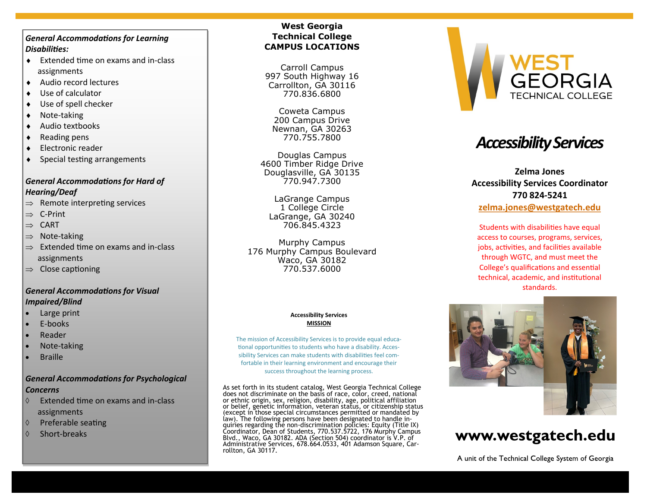#### *General Accommodations for Learning Disabilities:*

- ◆ Extended time on exams and in-class assignments
- Audio record lectures
- Use of calculator
- Use of spell checker
- Note-taking
- Audio textbooks
- $\leftarrow$  Reading pens
- Electronic reader
- Special testing arrangements

## *General Accommodations for Hard of Hearing/Deaf*

- $\Rightarrow$  Remote interpreting services
- $\Rightarrow$  C-Print
- $\Rightarrow$  CART
- $\Rightarrow$  Note-taking
- $\Rightarrow$  Extended time on exams and in-class assignments
- $\Rightarrow$  Close captioning

## *General Accommodations for Visual Impaired/Blind*

- Large print
- E-books
- Reader
- Note-taking
- **Braille**

## *General Accommodations for Psychological Concerns*

- $\Diamond$  Extended time on exams and in-class assignments
- $\Diamond$  Preferable seating
- $\Diamond$  Short-breaks

## **West Georgia Technical College CAMPUS LOCATIONS**

Carroll Campus 997 South Highway 16 Carrollton, GA 30116 770.836.6800

Coweta Campus 200 Campus Drive Newnan, GA 30263 770.755.7800

Douglas Campus 4600 Timber Ridge Drive Douglasville, GA 30135 770.947.7300

LaGrange Campus 1 College Circle LaGrange, GA 30240 706.845.4323

Murphy Campus 176 Murphy Campus Boulevard Waco, GA 30182 770.537.6000

#### **Accessibility Services MISSION**

The mission of Accessibility Services is to provide equal educational opportunities to students who have a disability. Accessibility Services can make students with disabilities feel comfortable in their learning environment and encourage their success throughout the learning process.

As set forth in its student catalog, West Georgia Technical College<br>does not discriminate on the basis of race, color, creed, national<br>or ethnic origin, sex, religion, disability, age, political affiliation<br>or belief, gene Administrative Services, 678.664.0533, 401 Adamson Square, Carrollton, GA 30117.



# *Accessibility Services*

# **Zelma Jones Accessibility Services Coordinator 770 824-5241**

#### **[zelma.jones@westgatech.edu](mailto:zelma.jones@westgatech.edu)**

Students with disabilities have equal access to courses, programs, services, jobs, activities, and facilities available through WGTC, and must meet the College's qualifications and essential technical, academic, and institutional standards.



# www.westgatech.edu

A unit of the Technical College System of Georgia